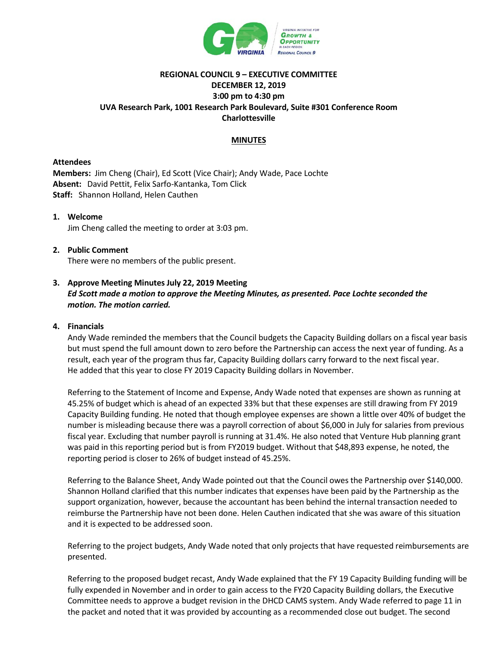

## **REGIONAL COUNCIL 9 – EXECUTIVE COMMITTEE DECEMBER 12, 2019 3:00 pm to 4:30 pm UVA Research Park, 1001 Research Park Boulevard, Suite #301 Conference Room Charlottesville**

## **MINUTES**

## **Attendees**

**Members:** Jim Cheng (Chair), Ed Scott (Vice Chair); Andy Wade, Pace Lochte **Absent:** David Pettit, Felix Sarfo-Kantanka, Tom Click **Staff:** Shannon Holland, Helen Cauthen

# **1. Welcome** Jim Cheng called the meeting to order at 3:03 pm.

## **2. Public Comment** There were no members of the public present.

## **3. Approve Meeting Minutes July 22, 2019 Meeting** *Ed Scott made a motion to approve the Meeting Minutes, as presented. Pace Lochte seconded the motion. The motion carried.*

## **4. Financials**

Andy Wade reminded the members that the Council budgets the Capacity Building dollars on a fiscal year basis but must spend the full amount down to zero before the Partnership can access the next year of funding. As a result, each year of the program thus far, Capacity Building dollars carry forward to the next fiscal year. He added that this year to close FY 2019 Capacity Building dollars in November.

Referring to the Statement of Income and Expense, Andy Wade noted that expenses are shown as running at 45.25% of budget which is ahead of an expected 33% but that these expenses are still drawing from FY 2019 Capacity Building funding. He noted that though employee expenses are shown a little over 40% of budget the number is misleading because there was a payroll correction of about \$6,000 in July for salaries from previous fiscal year. Excluding that number payroll is running at 31.4%. He also noted that Venture Hub planning grant was paid in this reporting period but is from FY2019 budget. Without that \$48,893 expense, he noted, the reporting period is closer to 26% of budget instead of 45.25%.

Referring to the Balance Sheet, Andy Wade pointed out that the Council owes the Partnership over \$140,000. Shannon Holland clarified that this number indicates that expenses have been paid by the Partnership as the support organization, however, because the accountant has been behind the internal transaction needed to reimburse the Partnership have not been done. Helen Cauthen indicated that she was aware of this situation and it is expected to be addressed soon.

Referring to the project budgets, Andy Wade noted that only projects that have requested reimbursements are presented.

Referring to the proposed budget recast, Andy Wade explained that the FY 19 Capacity Building funding will be fully expended in November and in order to gain access to the FY20 Capacity Building dollars, the Executive Committee needs to approve a budget revision in the DHCD CAMS system. Andy Wade referred to page 11 in the packet and noted that it was provided by accounting as a recommended close out budget. The second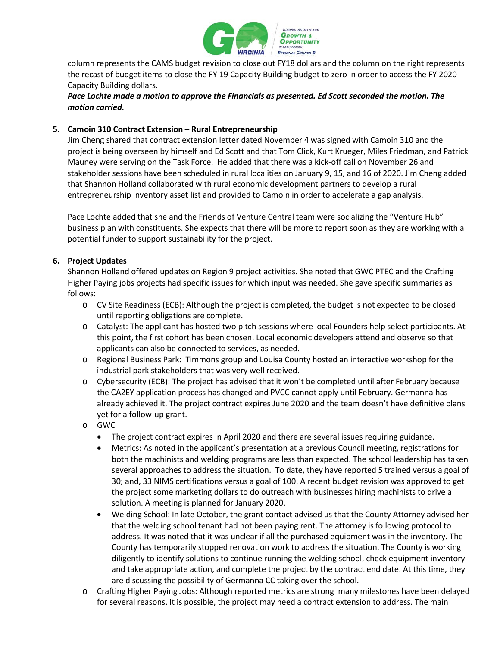

column represents the CAMS budget revision to close out FY18 dollars and the column on the right represents the recast of budget items to close the FY 19 Capacity Building budget to zero in order to access the FY 2020 Capacity Building dollars.

*Pace Lochte made a motion to approve the Financials as presented. Ed Scott seconded the motion. The motion carried.* 

## **5. Camoin 310 Contract Extension – Rural Entrepreneurship**

Jim Cheng shared that contract extension letter dated November 4 was signed with Camoin 310 and the project is being overseen by himself and Ed Scott and that Tom Click, Kurt Krueger, Miles Friedman, and Patrick Mauney were serving on the Task Force. He added that there was a kick-off call on November 26 and stakeholder sessions have been scheduled in rural localities on January 9, 15, and 16 of 2020. Jim Cheng added that Shannon Holland collaborated with rural economic development partners to develop a rural entrepreneurship inventory asset list and provided to Camoin in order to accelerate a gap analysis.

Pace Lochte added that she and the Friends of Venture Central team were socializing the "Venture Hub" business plan with constituents. She expects that there will be more to report soon as they are working with a potential funder to support sustainability for the project.

## **6. Project Updates**

Shannon Holland offered updates on Region 9 project activities. She noted that GWC PTEC and the Crafting Higher Paying jobs projects had specific issues for which input was needed. She gave specific summaries as follows:

- o CV Site Readiness (ECB): Although the project is completed, the budget is not expected to be closed until reporting obligations are complete.
- o Catalyst: The applicant has hosted two pitch sessions where local Founders help select participants. At this point, the first cohort has been chosen. Local economic developers attend and observe so that applicants can also be connected to services, as needed.
- o Regional Business Park: Timmons group and Louisa County hosted an interactive workshop for the industrial park stakeholders that was very well received.
- o Cybersecurity (ECB): The project has advised that it won't be completed until after February because the CA2EY application process has changed and PVCC cannot apply until February. Germanna has already achieved it. The project contract expires June 2020 and the team doesn't have definitive plans yet for a follow-up grant.
- o GWC
	- The project contract expires in April 2020 and there are several issues requiring guidance.
	- Metrics: As noted in the applicant's presentation at a previous Council meeting, registrations for both the machinists and welding programs are less than expected. The school leadership has taken several approaches to address the situation. To date, they have reported 5 trained versus a goal of 30; and, 33 NIMS certifications versus a goal of 100. A recent budget revision was approved to get the project some marketing dollars to do outreach with businesses hiring machinists to drive a solution. A meeting is planned for January 2020.
	- Welding School: In late October, the grant contact advised us that the County Attorney advised her that the welding school tenant had not been paying rent. The attorney is following protocol to address. It was noted that it was unclear if all the purchased equipment was in the inventory. The County has temporarily stopped renovation work to address the situation. The County is working diligently to identify solutions to continue running the welding school, check equipment inventory and take appropriate action, and complete the project by the contract end date. At this time, they are discussing the possibility of Germanna CC taking over the school.
- o Crafting Higher Paying Jobs: Although reported metrics are strong many milestones have been delayed for several reasons. It is possible, the project may need a contract extension to address. The main